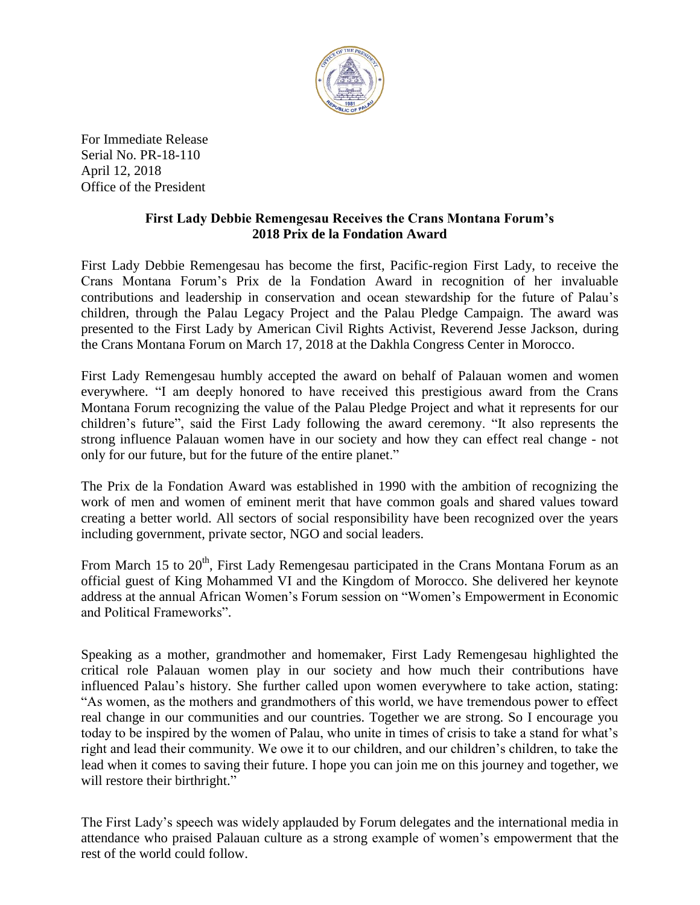

For Immediate Release Serial No. PR-18-110 April 12, 2018 Office of the President

## **First Lady Debbie Remengesau Receives the Crans Montana Forum's 2018 Prix de la Fondation Award**

First Lady Debbie Remengesau has become the first, Pacific-region First Lady, to receive the Crans Montana Forum's Prix de la Fondation Award in recognition of her invaluable contributions and leadership in conservation and ocean stewardship for the future of Palau's children, through the Palau Legacy Project and the Palau Pledge Campaign. The award was presented to the First Lady by American Civil Rights Activist, Reverend Jesse Jackson, during the Crans Montana Forum on March 17, 2018 at the Dakhla Congress Center in Morocco.

First Lady Remengesau humbly accepted the award on behalf of Palauan women and women everywhere. "I am deeply honored to have received this prestigious award from the Crans Montana Forum recognizing the value of the Palau Pledge Project and what it represents for our children's future", said the First Lady following the award ceremony. "It also represents the strong influence Palauan women have in our society and how they can effect real change - not only for our future, but for the future of the entire planet."

The Prix de la Fondation Award was established in 1990 with the ambition of recognizing the work of men and women of eminent merit that have common goals and shared values toward creating a better world. All sectors of social responsibility have been recognized over the years including government, private sector, NGO and social leaders.

From March 15 to 20<sup>th</sup>, First Lady Remengesau participated in the Crans Montana Forum as an official guest of King Mohammed VI and the Kingdom of Morocco. She delivered her keynote address at the annual African Women's Forum session on "Women's Empowerment in Economic and Political Frameworks".

Speaking as a mother, grandmother and homemaker, First Lady Remengesau highlighted the critical role Palauan women play in our society and how much their contributions have influenced Palau's history. She further called upon women everywhere to take action, stating: "As women, as the mothers and grandmothers of this world, we have tremendous power to effect real change in our communities and our countries. Together we are strong. So I encourage you today to be inspired by the women of Palau, who unite in times of crisis to take a stand for what's right and lead their community. We owe it to our children, and our children's children, to take the lead when it comes to saving their future. I hope you can join me on this journey and together, we will restore their birthright."

The First Lady's speech was widely applauded by Forum delegates and the international media in attendance who praised Palauan culture as a strong example of women's empowerment that the rest of the world could follow.